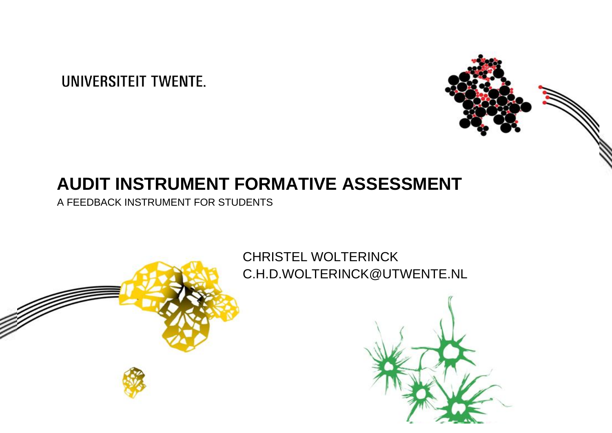# **UNIVERSITEIT TWENTE.**



## **INJ I KUIVIEN I "FUKIVIA I IVE" AJJEJJIVEN I "**<br>KINSTRIIMENT FOR STUDENTS **AUDIT INSTRUMENT FORMATIVE ASSESSMENT**

A FEEDBACK INSTRUMENT FOR STUDENTS

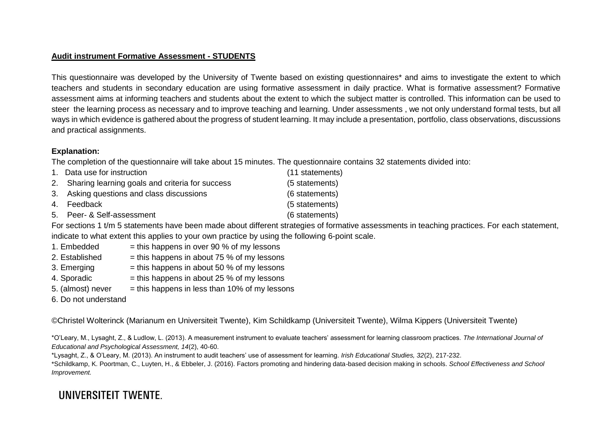#### **Audit instrument Formative Assessment - STUDENTS**

This questionnaire was developed by the University of Twente based on existing questionnaires\* and aims to investigate the extent to which teachers and students in secondary education are using formative assessment in daily practice. What is formative assessment? Formative assessment aims at informing teachers and students about the extent to which the subject matter is controlled. This information can be used to steer the learning process as necessary and to improve teaching and learning. Under assessments , we not only understand formal tests, but all ways in which evidence is gathered about the progress of student learning. It may include a presentation, portfolio, class observations, discussions and practical assignments.

#### **Explanation:**

The completion of the questionnaire will take about 15 minutes. The questionnaire contains 32 statements divided into:

1. Data use for instruction (11 statements) 2. Sharing learning goals and criteria for success (5 statements) 3. Asking questions and class discussions (6 statements) 4. Feedback (5 statements) 5. Peer- & Self-assessment (6 statements)

For sections 1 t/m 5 statements have been made about different strategies of formative assessments in teaching practices. For each statement, indicate to what extent this applies to your own practice by using the following 6-point scale.

- 1. Embedded  $=$  this happens in over 90 % of my lessons
- 2. Established  $=$  this happens in about 75 % of my lessons
- 3. Emerging  $=$  this happens in about 50 % of my lessons
- 4. Sporadic  $=$  this happens in about 25 % of my lessons
- 5. (almost) never  $=$  this happens in less than 10% of my lessons
- 6. Do not understand

©Christel Wolterinck (Marianum en Universiteit Twente), Kim Schildkamp (Universiteit Twente), Wilma Kippers (Universiteit Twente)

\*O'Leary, M., Lysaght, Z., & Ludlow, L. (2013). A measurement instrument to evaluate teachers' assessment for learning classroom practices. *The International Journal of Educational and Psychological Assessment, 14*(2), 40-60.

\*Lysaght, Z., & O'Leary, M. (2013). An instrument to audit teachers' use of assessment for learning. *Irish Educational Studies, 32*(2), 217-232.

\*Schildkamp, K. Poortman, C., Luyten, H., & Ebbeler, J. (2016). Factors promoting and hindering data-based decision making in schools. *School Effectiveness and School Improvement.*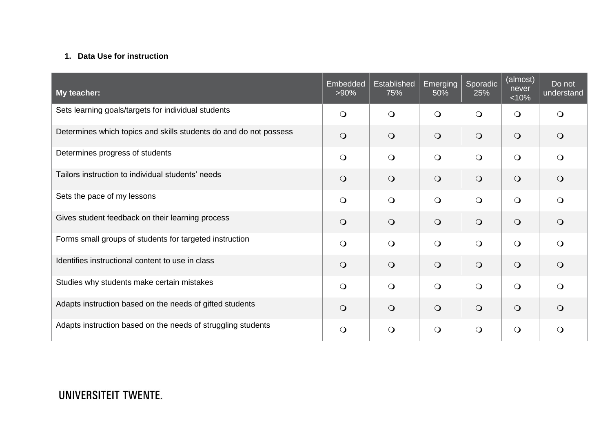### **1. Data Use for instruction**

| My teacher:                                                       | <b>Embedded</b><br>$>90\%$ | Established<br>75% | Emerging<br>50% | Sporadic<br>25% | (almost)<br>never<br>< 10% | Do not<br>understand |
|-------------------------------------------------------------------|----------------------------|--------------------|-----------------|-----------------|----------------------------|----------------------|
| Sets learning goals/targets for individual students               | $\bigcirc$                 | $\bigcirc$         | $\bigcirc$      | $\bigcirc$      | $\circ$                    | $\Omega$             |
| Determines which topics and skills students do and do not possess | $\bigcirc$                 | $\bigcirc$         | $\bigcirc$      | $\bigcirc$      | $\bigcirc$                 | $\bigcirc$           |
| Determines progress of students                                   | $\bigcirc$                 | $\bigcirc$         | $\bigcirc$      | $\bigcirc$      | $\bigcirc$                 | $\bigcirc$           |
| Tailors instruction to individual students' needs                 | $\bigcirc$                 | $\bigcirc$         | $\bigcirc$      | $\bigcirc$      | $\bigcirc$                 | $\bigcirc$           |
| Sets the pace of my lessons                                       | $\bigcirc$                 | $\bigcirc$         | $\bigcirc$      | $\bigcirc$      | $\bigcirc$                 | $\bigcirc$           |
| Gives student feedback on their learning process                  | $\bigcirc$                 | $\bigcirc$         | $\bigcirc$      | $\bigcirc$      | $\bigcirc$                 | $\bigcirc$           |
| Forms small groups of students for targeted instruction           | $\bigcirc$                 | $\bigcirc$         | $\bigcirc$      | $\bigcirc$      | $\bigcirc$                 | $\bigcirc$           |
| Identifies instructional content to use in class                  | $\bigcirc$                 | $\circ$            | $\bigcirc$      | $\circ$         | $\circ$                    | $\bigcirc$           |
| Studies why students make certain mistakes                        | $\bigcirc$                 | $\Omega$           | $\bigcirc$      | $\bigcirc$      | $\bigcirc$                 | $\bigcirc$           |
| Adapts instruction based on the needs of gifted students          | $\bigcirc$                 | $\bigcirc$         | $\bigcirc$      | $\bigcirc$      | $\bigcirc$                 | $\bigcirc$           |
| Adapts instruction based on the needs of struggling students      | $\bigcirc$                 | $\bigcirc$         | $\bigcirc$      | $\bigcirc$      | $\bigcirc$                 | $\circ$              |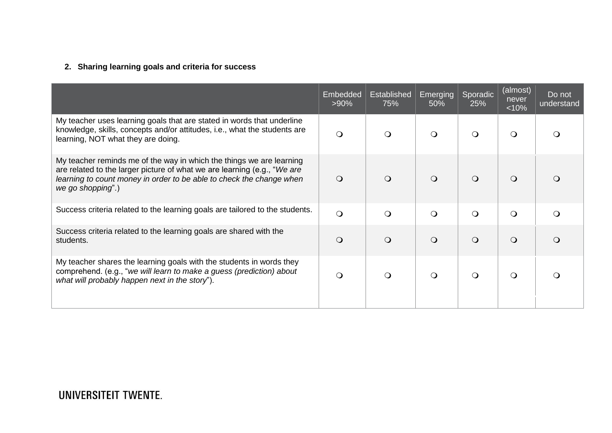### **2. Sharing learning goals and criteria for success**

|                                                                                                                                                                                                                                               | <b>Embedded</b><br>$>90\%$ | <b>Established</b><br>75% | <b>Emerging</b><br>50% | Sporadic<br>25% | (almost)<br>never<br>< 10% | Do not<br>understand |
|-----------------------------------------------------------------------------------------------------------------------------------------------------------------------------------------------------------------------------------------------|----------------------------|---------------------------|------------------------|-----------------|----------------------------|----------------------|
| My teacher uses learning goals that are stated in words that underline<br>knowledge, skills, concepts and/or attitudes, i.e., what the students are<br>learning, NOT what they are doing.                                                     | $\bigcirc$                 | $\Omega$                  | $\Omega$               | $\Omega$        | $\circ$                    | ∩                    |
| My teacher reminds me of the way in which the things we are learning<br>are related to the larger picture of what we are learning (e.g., "We are<br>learning to count money in order to be able to check the change when<br>we go shopping".) | O                          | $\Omega$                  | $\Omega$               | $\Omega$        | $\circ$                    | $\Omega$             |
| Success criteria related to the learning goals are tailored to the students.                                                                                                                                                                  | $\Omega$                   | $\Omega$                  | $\Omega$               | $\Omega$        | $\bigcirc$                 | $\Omega$             |
| Success criteria related to the learning goals are shared with the<br>students.                                                                                                                                                               | $\bigcirc$                 | $\bigcirc$                | $\Omega$               | $\circ$         | $\bigcirc$                 | $\Omega$             |
| My teacher shares the learning goals with the students in words they<br>comprehend. (e.g., "we will learn to make a guess (prediction) about<br>what will probably happen next in the story").                                                | Q                          | $\Omega$                  | $\circ$                | $\Omega$        | $\circ$                    | $\Omega$             |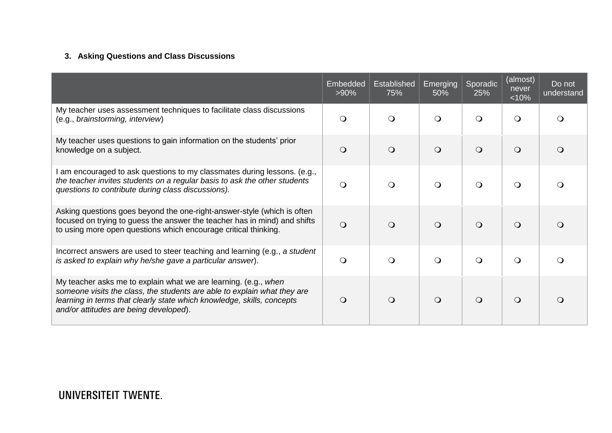### **3. Asking Questions and Class Discussions**

|                                                                                                                                                                                                                                                                 | Embedded<br>$>90\%$ | Established<br>75% | Emerging<br>50% | Sporadic<br>25% | (almost)<br>never<br>< 10% | Do not<br>understand |
|-----------------------------------------------------------------------------------------------------------------------------------------------------------------------------------------------------------------------------------------------------------------|---------------------|--------------------|-----------------|-----------------|----------------------------|----------------------|
| My teacher uses assessment techniques to facilitate class discussions<br>(e.g., brainstorming, interview)                                                                                                                                                       | $\circ$             | $\Omega$           | ∩               | $\Omega$        | $\circ$                    |                      |
| My teacher uses questions to gain information on the students' prior<br>knowledge on a subject.                                                                                                                                                                 | $\bigcirc$          | $\Omega$           | $\Omega$        | $\bigcirc$      | $\Omega$                   |                      |
| am encouraged to ask questions to my classmates during lessons. (e.g.,<br>the teacher invites students on a regular basis to ask the other students<br>questions to contribute during class discussions).                                                       | $\bigcirc$          | $\Omega$           | $\Omega$        | $\Omega$        | $\Omega$                   |                      |
| Asking questions goes beyond the one-right-answer-style (which is often<br>focused on trying to guess the answer the teacher has in mind) and shifts<br>to using more open questions which encourage critical thinking.                                         | $\Omega$            | $\Omega$           | $\Omega$        | $\circ$         | $\Omega$                   |                      |
| Incorrect answers are used to steer teaching and learning (e.g., a student<br>is asked to explain why he/she gave a particular answer).                                                                                                                         | $\bigcirc$          | $\bigcirc$         | $\Omega$        | $\circ$         | $\circ$                    |                      |
| My teacher asks me to explain what we are learning. (e.g., when<br>someone visits the class, the students are able to explain what they are<br>learning in terms that clearly state which knowledge, skills, concepts<br>and/or attitudes are being developed). | $\circ$             | $\Omega$           | $\Omega$        | $\circ$         | $\Omega$                   |                      |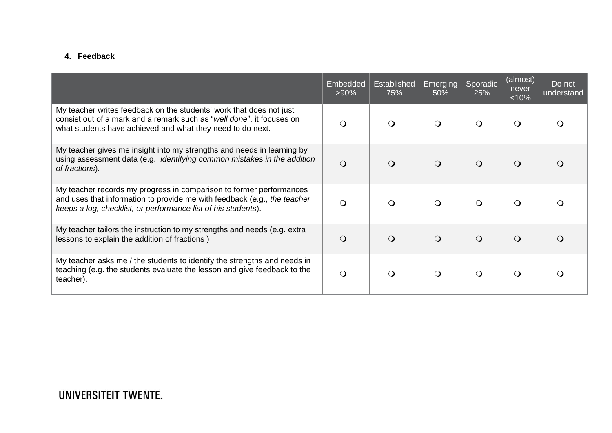#### **4. Feedback**

|                                                                                                                                                                                                                  | Embedded<br>$>90\%$ | Established<br>75% | Emerging<br>50% | Sporadic<br>25% | (almost)<br>never<br>< 10% | Do not<br>understand |
|------------------------------------------------------------------------------------------------------------------------------------------------------------------------------------------------------------------|---------------------|--------------------|-----------------|-----------------|----------------------------|----------------------|
| My teacher writes feedback on the students' work that does not just<br>consist out of a mark and a remark such as "well done", it focuses on<br>what students have achieved and what they need to do next.       | $\Omega$            |                    | $\Omega$        | $\Omega$        | $\Omega$                   |                      |
| My teacher gives me insight into my strengths and needs in learning by<br>using assessment data (e.g., <i>identifying common mistakes in the addition</i><br>of fractions).                                      | $\Omega$            |                    | $\Omega$        | $\Omega$        | $\Omega$                   |                      |
| My teacher records my progress in comparison to former performances<br>and uses that information to provide me with feedback (e.g., the teacher<br>keeps a log, checklist, or performance list of his students). | $\Omega$            | $\Omega$           | $\Omega$        | $\Omega$        | $\Omega$                   |                      |
| My teacher tailors the instruction to my strengths and needs (e.g. extra<br>lessons to explain the addition of fractions)                                                                                        | $\Omega$            | $\Omega$           | $\circ$         | $\circ$         | $\Omega$                   |                      |
| My teacher asks me / the students to identify the strengths and needs in<br>teaching (e.g. the students evaluate the lesson and give feedback to the<br>teacher).                                                | $\bigcirc$          | ∩                  | $\Omega$        | $\Omega$        | $\Omega$                   |                      |